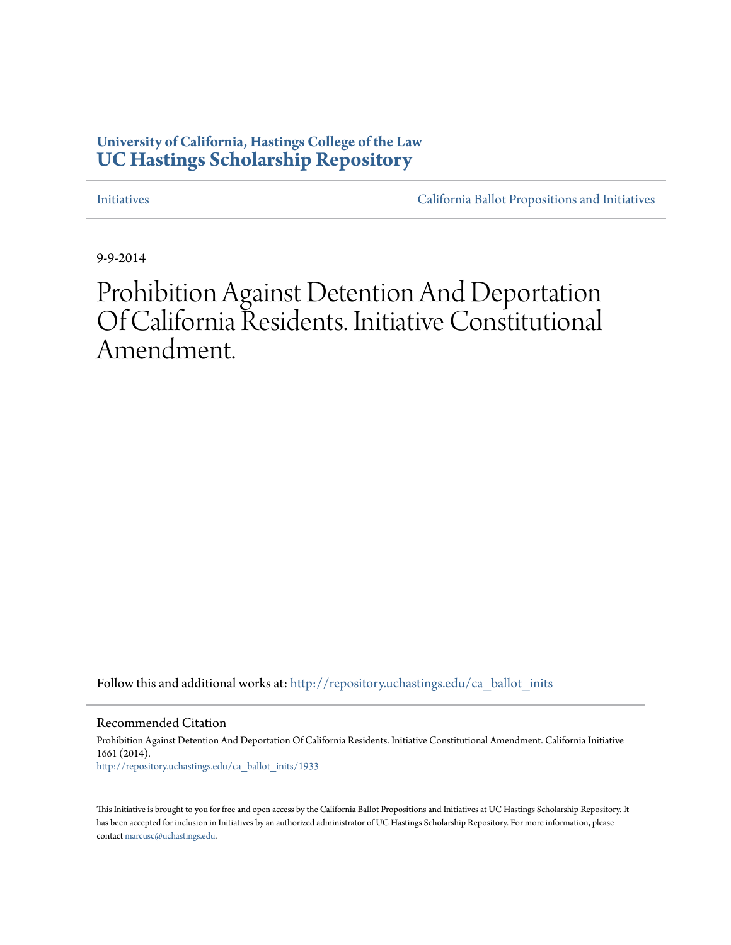## **University of California, Hastings College of the Law [UC Hastings Scholarship Repository](http://repository.uchastings.edu?utm_source=repository.uchastings.edu%2Fca_ballot_inits%2F1933&utm_medium=PDF&utm_campaign=PDFCoverPages)**

[Initiatives](http://repository.uchastings.edu/ca_ballot_inits?utm_source=repository.uchastings.edu%2Fca_ballot_inits%2F1933&utm_medium=PDF&utm_campaign=PDFCoverPages) [California Ballot Propositions and Initiatives](http://repository.uchastings.edu/ca_ballots?utm_source=repository.uchastings.edu%2Fca_ballot_inits%2F1933&utm_medium=PDF&utm_campaign=PDFCoverPages)

9-9-2014

## Prohibition Against Detention And Deportation Of California Residents. Initiative Constitutional Amendment.

Follow this and additional works at: [http://repository.uchastings.edu/ca\\_ballot\\_inits](http://repository.uchastings.edu/ca_ballot_inits?utm_source=repository.uchastings.edu%2Fca_ballot_inits%2F1933&utm_medium=PDF&utm_campaign=PDFCoverPages)

Recommended Citation

Prohibition Against Detention And Deportation Of California Residents. Initiative Constitutional Amendment. California Initiative 1661 (2014). [http://repository.uchastings.edu/ca\\_ballot\\_inits/1933](http://repository.uchastings.edu/ca_ballot_inits/1933?utm_source=repository.uchastings.edu%2Fca_ballot_inits%2F1933&utm_medium=PDF&utm_campaign=PDFCoverPages)

This Initiative is brought to you for free and open access by the California Ballot Propositions and Initiatives at UC Hastings Scholarship Repository. It has been accepted for inclusion in Initiatives by an authorized administrator of UC Hastings Scholarship Repository. For more information, please contact [marcusc@uchastings.edu](mailto:marcusc@uchastings.edu).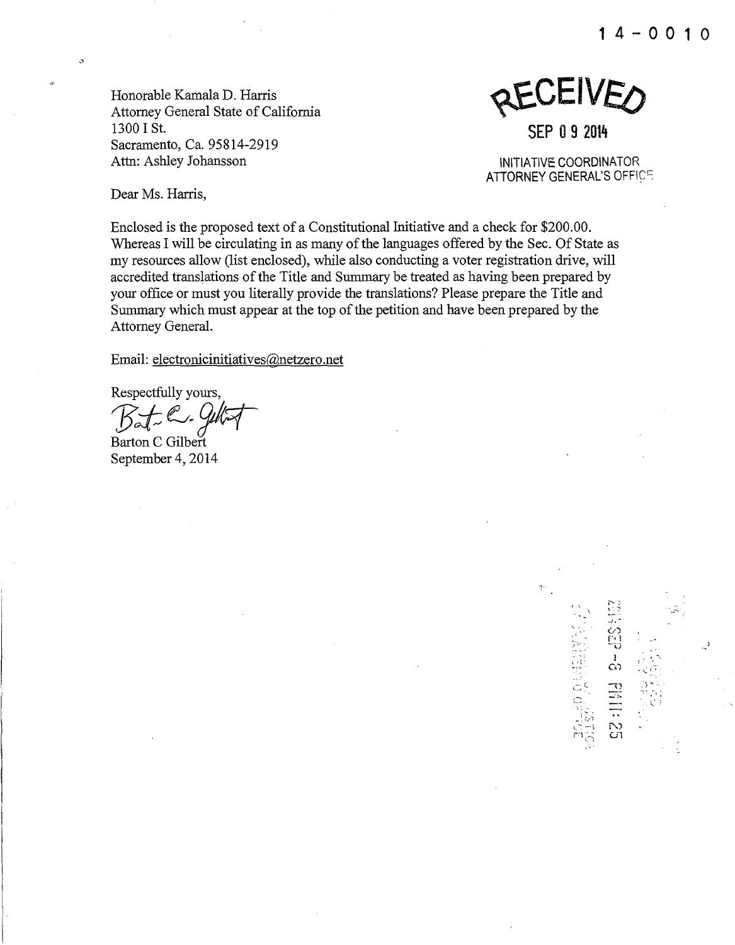**1 4 - 0 0 1 0** 

Honorable Kamala D. Harris Attorney General State of California 1300 I St. Sacramento, Ca. 95814-2919 Attn: Ashley Johansson



INITIATIVE COORDINATOR ATTORNEY GENERAL'S OFFICE

> $\gg$  -  $\Box$ - ':

 $\frac{1}{2}$ '\..,&.I

! *:* 

 $\mathbf{l}$ 

 $\circ$  $``; c$  .  $\lim_{n\to\infty}$ 

 $\mathbb{S}^{2n}_{\pm}$   $\infty$  $\mathbb{P}^1 \subset \mathbb{C}^1$ 

Dear Ms. Harris,

Enclosed is the proposed text of a Constitutional Initiative and a check for \$200.00. Whereas I will be circulating in as many of the languages offered by the Sec. Of State as my resources allow (list enclosed), while also conducting a voter registration drive, will accredited translations of the Title and Summary be treated as having been prepared by your office or must you literally provide the translations? Please prepare the Title and Summary which must appear at the top of the petition and have been prepared by the Attorney General.

Email: electronicinitiatives@netzero.net

Respectfully yours,<br>Baf = C + Gul

-~~ *[Jit1*  Barton C Gilbert September 4, 2014